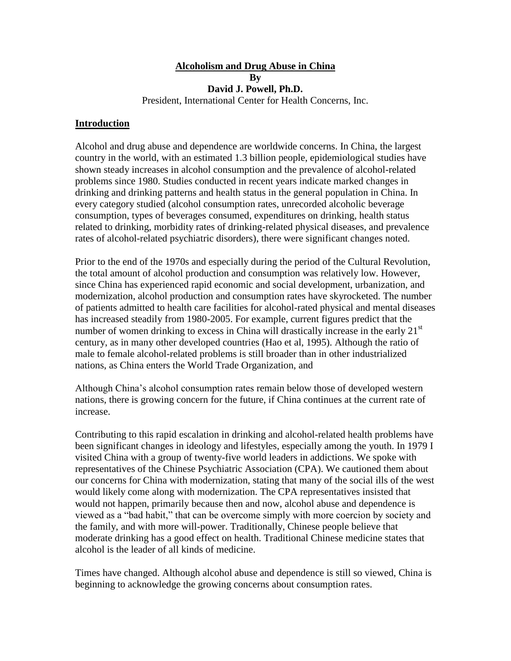# **Alcoholism and Drug Abuse in China By David J. Powell, Ph.D.**

President, International Center for Health Concerns, Inc.

### **Introduction**

Alcohol and drug abuse and dependence are worldwide concerns. In China, the largest country in the world, with an estimated 1.3 billion people, epidemiological studies have shown steady increases in alcohol consumption and the prevalence of alcohol-related problems since 1980. Studies conducted in recent years indicate marked changes in drinking and drinking patterns and health status in the general population in China. In every category studied (alcohol consumption rates, unrecorded alcoholic beverage consumption, types of beverages consumed, expenditures on drinking, health status related to drinking, morbidity rates of drinking-related physical diseases, and prevalence rates of alcohol-related psychiatric disorders), there were significant changes noted.

Prior to the end of the 1970s and especially during the period of the Cultural Revolution, the total amount of alcohol production and consumption was relatively low. However, since China has experienced rapid economic and social development, urbanization, and modernization, alcohol production and consumption rates have skyrocketed. The number of patients admitted to health care facilities for alcohol-rated physical and mental diseases has increased steadily from 1980-2005. For example, current figures predict that the number of women drinking to excess in China will drastically increase in the early  $21<sup>st</sup>$ century, as in many other developed countries (Hao et al, 1995). Although the ratio of male to female alcohol-related problems is still broader than in other industrialized nations, as China enters the World Trade Organization, and

Although China's alcohol consumption rates remain below those of developed western nations, there is growing concern for the future, if China continues at the current rate of increase.

Contributing to this rapid escalation in drinking and alcohol-related health problems have been significant changes in ideology and lifestyles, especially among the youth. In 1979 I visited China with a group of twenty-five world leaders in addictions. We spoke with representatives of the Chinese Psychiatric Association (CPA). We cautioned them about our concerns for China with modernization, stating that many of the social ills of the west would likely come along with modernization. The CPA representatives insisted that would not happen, primarily because then and now, alcohol abuse and dependence is viewed as a "bad habit," that can be overcome simply with more coercion by society and the family, and with more will-power. Traditionally, Chinese people believe that moderate drinking has a good effect on health. Traditional Chinese medicine states that alcohol is the leader of all kinds of medicine.

Times have changed. Although alcohol abuse and dependence is still so viewed, China is beginning to acknowledge the growing concerns about consumption rates.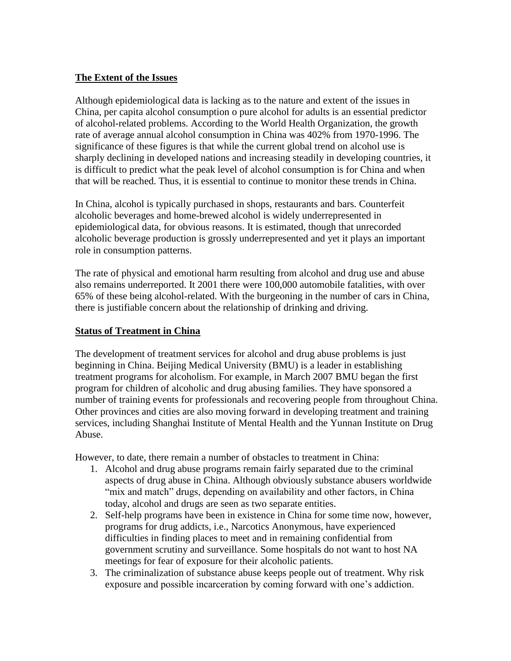### **The Extent of the Issues**

Although epidemiological data is lacking as to the nature and extent of the issues in China, per capita alcohol consumption o pure alcohol for adults is an essential predictor of alcohol-related problems. According to the World Health Organization, the growth rate of average annual alcohol consumption in China was 402% from 1970-1996. The significance of these figures is that while the current global trend on alcohol use is sharply declining in developed nations and increasing steadily in developing countries, it is difficult to predict what the peak level of alcohol consumption is for China and when that will be reached. Thus, it is essential to continue to monitor these trends in China.

In China, alcohol is typically purchased in shops, restaurants and bars. Counterfeit alcoholic beverages and home-brewed alcohol is widely underrepresented in epidemiological data, for obvious reasons. It is estimated, though that unrecorded alcoholic beverage production is grossly underrepresented and yet it plays an important role in consumption patterns.

The rate of physical and emotional harm resulting from alcohol and drug use and abuse also remains underreported. It 2001 there were 100,000 automobile fatalities, with over 65% of these being alcohol-related. With the burgeoning in the number of cars in China, there is justifiable concern about the relationship of drinking and driving.

#### **Status of Treatment in China**

The development of treatment services for alcohol and drug abuse problems is just beginning in China. Beijing Medical University (BMU) is a leader in establishing treatment programs for alcoholism. For example, in March 2007 BMU began the first program for children of alcoholic and drug abusing families. They have sponsored a number of training events for professionals and recovering people from throughout China. Other provinces and cities are also moving forward in developing treatment and training services, including Shanghai Institute of Mental Health and the Yunnan Institute on Drug Abuse.

However, to date, there remain a number of obstacles to treatment in China:

- 1. Alcohol and drug abuse programs remain fairly separated due to the criminal aspects of drug abuse in China. Although obviously substance abusers worldwide "mix and match" drugs, depending on availability and other factors, in China today, alcohol and drugs are seen as two separate entities.
- 2. Self-help programs have been in existence in China for some time now, however, programs for drug addicts, i.e., Narcotics Anonymous, have experienced difficulties in finding places to meet and in remaining confidential from government scrutiny and surveillance. Some hospitals do not want to host NA meetings for fear of exposure for their alcoholic patients.
- 3. The criminalization of substance abuse keeps people out of treatment. Why risk exposure and possible incarceration by coming forward with one's addiction.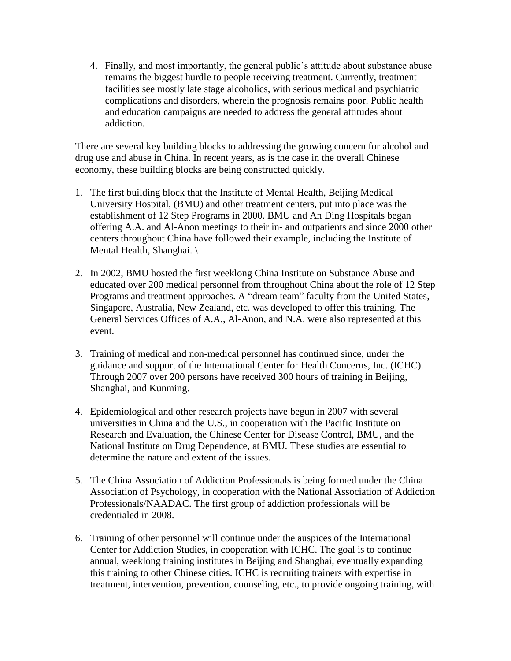4. Finally, and most importantly, the general public's attitude about substance abuse remains the biggest hurdle to people receiving treatment. Currently, treatment facilities see mostly late stage alcoholics, with serious medical and psychiatric complications and disorders, wherein the prognosis remains poor. Public health and education campaigns are needed to address the general attitudes about addiction.

There are several key building blocks to addressing the growing concern for alcohol and drug use and abuse in China. In recent years, as is the case in the overall Chinese economy, these building blocks are being constructed quickly.

- 1. The first building block that the Institute of Mental Health, Beijing Medical University Hospital, (BMU) and other treatment centers, put into place was the establishment of 12 Step Programs in 2000. BMU and An Ding Hospitals began offering A.A. and Al-Anon meetings to their in- and outpatients and since 2000 other centers throughout China have followed their example, including the Institute of Mental Health, Shanghai. \
- 2. In 2002, BMU hosted the first weeklong China Institute on Substance Abuse and educated over 200 medical personnel from throughout China about the role of 12 Step Programs and treatment approaches. A "dream team" faculty from the United States, Singapore, Australia, New Zealand, etc. was developed to offer this training. The General Services Offices of A.A., Al-Anon, and N.A. were also represented at this event.
- 3. Training of medical and non-medical personnel has continued since, under the guidance and support of the International Center for Health Concerns, Inc. (ICHC). Through 2007 over 200 persons have received 300 hours of training in Beijing, Shanghai, and Kunming.
- 4. Epidemiological and other research projects have begun in 2007 with several universities in China and the U.S., in cooperation with the Pacific Institute on Research and Evaluation, the Chinese Center for Disease Control, BMU, and the National Institute on Drug Dependence, at BMU. These studies are essential to determine the nature and extent of the issues.
- 5. The China Association of Addiction Professionals is being formed under the China Association of Psychology, in cooperation with the National Association of Addiction Professionals/NAADAC. The first group of addiction professionals will be credentialed in 2008.
- 6. Training of other personnel will continue under the auspices of the International Center for Addiction Studies, in cooperation with ICHC. The goal is to continue annual, weeklong training institutes in Beijing and Shanghai, eventually expanding this training to other Chinese cities. ICHC is recruiting trainers with expertise in treatment, intervention, prevention, counseling, etc., to provide ongoing training, with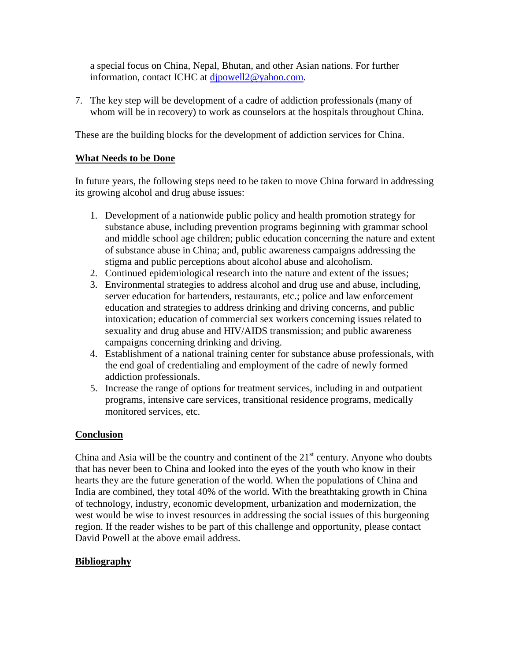a special focus on China, Nepal, Bhutan, and other Asian nations. For further information, contact ICHC at [djpowell2@yahoo.com.](mailto:djpowell2@yahoo.com)

7. The key step will be development of a cadre of addiction professionals (many of whom will be in recovery) to work as counselors at the hospitals throughout China.

These are the building blocks for the development of addiction services for China.

## **What Needs to be Done**

In future years, the following steps need to be taken to move China forward in addressing its growing alcohol and drug abuse issues:

- 1. Development of a nationwide public policy and health promotion strategy for substance abuse, including prevention programs beginning with grammar school and middle school age children; public education concerning the nature and extent of substance abuse in China; and, public awareness campaigns addressing the stigma and public perceptions about alcohol abuse and alcoholism.
- 2. Continued epidemiological research into the nature and extent of the issues;
- 3. Environmental strategies to address alcohol and drug use and abuse, including, server education for bartenders, restaurants, etc.; police and law enforcement education and strategies to address drinking and driving concerns, and public intoxication; education of commercial sex workers concerning issues related to sexuality and drug abuse and HIV/AIDS transmission; and public awareness campaigns concerning drinking and driving.
- 4. Establishment of a national training center for substance abuse professionals, with the end goal of credentialing and employment of the cadre of newly formed addiction professionals.
- 5. Increase the range of options for treatment services, including in and outpatient programs, intensive care services, transitional residence programs, medically monitored services, etc.

## **Conclusion**

China and Asia will be the country and continent of the  $21<sup>st</sup>$  century. Anyone who doubts that has never been to China and looked into the eyes of the youth who know in their hearts they are the future generation of the world. When the populations of China and India are combined, they total 40% of the world. With the breathtaking growth in China of technology, industry, economic development, urbanization and modernization, the west would be wise to invest resources in addressing the social issues of this burgeoning region. If the reader wishes to be part of this challenge and opportunity, please contact David Powell at the above email address.

## **Bibliography**